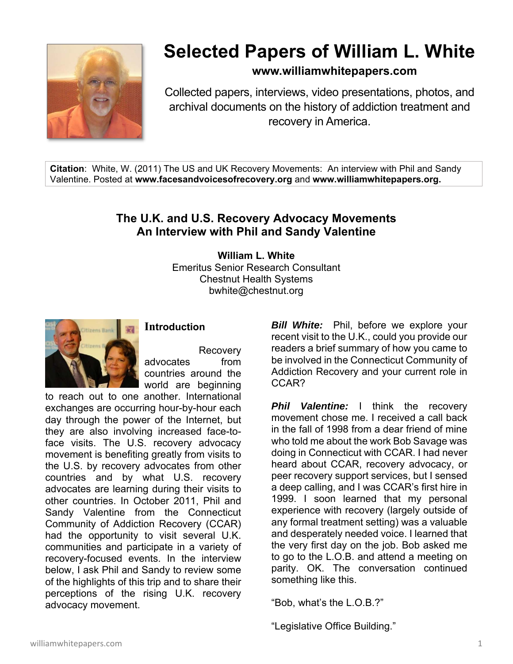

# **Selected Papers of William L. White**

**www.williamwhitepapers.com**

Collected papers, interviews, video presentations, photos, and archival documents on the history of addiction treatment and recovery in America.

**Citation**: White, W. (2011) The US and UK Recovery Movements: An interview with Phil and Sandy Valentine. Posted at **www.facesandvoicesofrecovery.org** and **www.williamwhitepapers.org.** 

# **The U.K. and U.S. Recovery Advocacy Movements An Interview with Phil and Sandy Valentine**

**William L. White**  Emeritus Senior Research Consultant Chestnut Health Systems bwhite@chestnut.org



## **Introduction**

Recovery advocates from countries around the world are beginning

to reach out to one another. International exchanges are occurring hour-by-hour each day through the power of the Internet, but they are also involving increased face-toface visits. The U.S. recovery advocacy movement is benefiting greatly from visits to the U.S. by recovery advocates from other countries and by what U.S. recovery advocates are learning during their visits to other countries. In October 2011, Phil and Sandy Valentine from the Connecticut Community of Addiction Recovery (CCAR) had the opportunity to visit several U.K. communities and participate in a variety of recovery-focused events. In the interview below, I ask Phil and Sandy to review some of the highlights of this trip and to share their perceptions of the rising U.K. recovery advocacy movement.

*Bill White:* Phil, before we explore your recent visit to the U.K., could you provide our readers a brief summary of how you came to be involved in the Connecticut Community of Addiction Recovery and your current role in CCAR?

**Phil Valentine:** I think the recovery movement chose me. I received a call back in the fall of 1998 from a dear friend of mine who told me about the work Bob Savage was doing in Connecticut with CCAR. I had never heard about CCAR, recovery advocacy, or peer recovery support services, but I sensed a deep calling, and I was CCAR's first hire in 1999. I soon learned that my personal experience with recovery (largely outside of any formal treatment setting) was a valuable and desperately needed voice. I learned that the very first day on the job. Bob asked me to go to the L.O.B. and attend a meeting on parity. OK. The conversation continued something like this.

"Bob, what's the L.O.B.?"

"Legislative Office Building."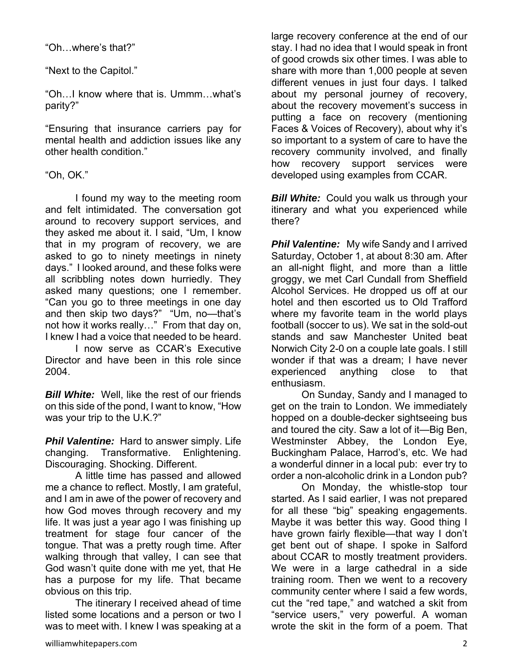"Oh…where's that?"

"Next to the Capitol."

"Oh…I know where that is. Ummm…what's parity?"

"Ensuring that insurance carriers pay for mental health and addiction issues like any other health condition."

#### "Oh, OK."

 I found my way to the meeting room and felt intimidated. The conversation got around to recovery support services, and they asked me about it. I said, "Um, I know that in my program of recovery, we are asked to go to ninety meetings in ninety days." I looked around, and these folks were all scribbling notes down hurriedly. They asked many questions; one I remember. "Can you go to three meetings in one day and then skip two days?" "Um, no—that's not how it works really…" From that day on, I knew I had a voice that needed to be heard.

 I now serve as CCAR's Executive Director and have been in this role since 2004.

*Bill White:* Well, like the rest of our friends on this side of the pond, I want to know, "How was your trip to the U.K.?"

*Phil Valentine:* Hard to answer simply. Life changing. Transformative. Enlightening. Discouraging. Shocking. Different.

 A little time has passed and allowed me a chance to reflect. Mostly, I am grateful, and I am in awe of the power of recovery and how God moves through recovery and my life. It was just a year ago I was finishing up treatment for stage four cancer of the tongue. That was a pretty rough time. After walking through that valley, I can see that God wasn't quite done with me yet, that He has a purpose for my life. That became obvious on this trip.

 The itinerary I received ahead of time listed some locations and a person or two I was to meet with. I knew I was speaking at a

large recovery conference at the end of our stay. I had no idea that I would speak in front of good crowds six other times. I was able to share with more than 1,000 people at seven different venues in just four days. I talked about my personal journey of recovery, about the recovery movement's success in putting a face on recovery (mentioning Faces & Voices of Recovery), about why it's so important to a system of care to have the recovery community involved, and finally how recovery support services were developed using examples from CCAR.

**Bill White:** Could you walk us through your itinerary and what you experienced while there?

**Phil Valentine:** My wife Sandy and I arrived Saturday, October 1, at about 8:30 am. After an all-night flight, and more than a little groggy, we met Carl Cundall from Sheffield Alcohol Services. He dropped us off at our hotel and then escorted us to Old Trafford where my favorite team in the world plays football (soccer to us). We sat in the sold-out stands and saw Manchester United beat Norwich City 2-0 on a couple late goals. I still wonder if that was a dream; I have never experienced anything close to that enthusiasm.

 On Sunday, Sandy and I managed to get on the train to London. We immediately hopped on a double-decker sightseeing bus and toured the city. Saw a lot of it—Big Ben, Westminster Abbey, the London Eye, Buckingham Palace, Harrod's, etc. We had a wonderful dinner in a local pub: ever try to order a non-alcoholic drink in a London pub?

 On Monday, the whistle-stop tour started. As I said earlier, I was not prepared for all these "big" speaking engagements. Maybe it was better this way. Good thing I have grown fairly flexible—that way I don't get bent out of shape. I spoke in Salford about CCAR to mostly treatment providers. We were in a large cathedral in a side training room. Then we went to a recovery community center where I said a few words, cut the "red tape," and watched a skit from "service users," very powerful. A woman wrote the skit in the form of a poem. That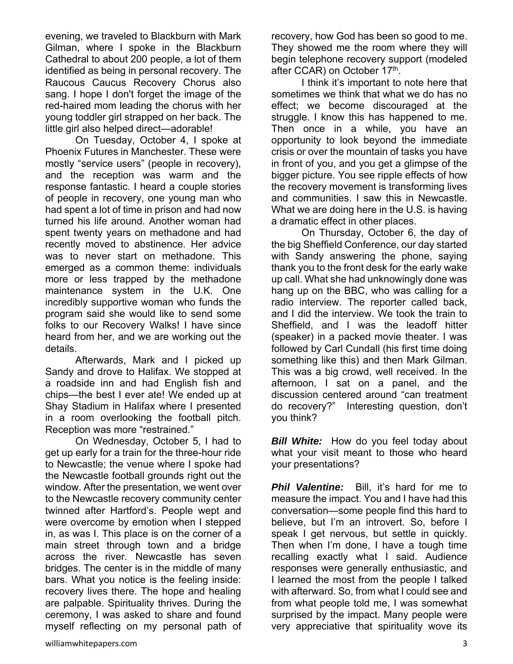evening, we traveled to Blackburn with Mark Gilman, where I spoke in the Blackburn Cathedral to about 200 people, a lot of them identified as being in personal recovery. The Raucous Caucus Recovery Chorus also sang. I hope I don't forget the image of the red-haired mom leading the chorus with her young toddler girl strapped on her back. The little girl also helped direct—adorable!

 On Tuesday, October 4, I spoke at Phoenix Futures in Manchester. These were mostly "service users" (people in recovery), and the reception was warm and the response fantastic. I heard a couple stories of people in recovery, one young man who had spent a lot of time in prison and had now turned his life around. Another woman had spent twenty years on methadone and had recently moved to abstinence. Her advice was to never start on methadone. This emerged as a common theme: individuals more or less trapped by the methadone maintenance system in the U.K. One incredibly supportive woman who funds the program said she would like to send some folks to our Recovery Walks! I have since heard from her, and we are working out the details.

 Afterwards, Mark and I picked up Sandy and drove to Halifax. We stopped at a roadside inn and had English fish and chips—the best I ever ate! We ended up at Shay Stadium in Halifax where I presented in a room overlooking the football pitch. Reception was more "restrained."

On Wednesday, October 5, I had to get up early for a train for the three-hour ride to Newcastle; the venue where I spoke had the Newcastle football grounds right out the window. After the presentation, we went over to the Newcastle recovery community center twinned after Hartford's. People wept and were overcome by emotion when I stepped in, as was I. This place is on the corner of a main street through town and a bridge across the river. Newcastle has seven bridges. The center is in the middle of many bars. What you notice is the feeling inside: recovery lives there. The hope and healing are palpable. Spirituality thrives. During the ceremony, I was asked to share and found myself reflecting on my personal path of recovery, how God has been so good to me. They showed me the room where they will begin telephone recovery support (modeled after CCAR) on October 17th.

I think it's important to note here that sometimes we think that what we do has no effect; we become discouraged at the struggle. I know this has happened to me. Then once in a while, you have an opportunity to look beyond the immediate crisis or over the mountain of tasks you have in front of you, and you get a glimpse of the bigger picture. You see ripple effects of how the recovery movement is transforming lives and communities. I saw this in Newcastle. What we are doing here in the U.S. is having a dramatic effect in other places.

 On Thursday, October 6, the day of the big Sheffield Conference, our day started with Sandy answering the phone, saying thank you to the front desk for the early wake up call. What she had unknowingly done was hang up on the BBC, who was calling for a radio interview. The reporter called back, and I did the interview. We took the train to Sheffield, and I was the leadoff hitter (speaker) in a packed movie theater. I was followed by Carl Cundall (his first time doing something like this) and then Mark Gilman. This was a big crowd, well received. In the afternoon, I sat on a panel, and the discussion centered around "can treatment do recovery?" Interesting question, don't you think?

*Bill White:* How do you feel today about what your visit meant to those who heard your presentations?

**Phil Valentine:** Bill, it's hard for me to measure the impact. You and I have had this conversation—some people find this hard to believe, but I'm an introvert. So, before I speak I get nervous, but settle in quickly. Then when I'm done, I have a tough time recalling exactly what I said. Audience responses were generally enthusiastic, and I learned the most from the people I talked with afterward. So, from what I could see and from what people told me, I was somewhat surprised by the impact. Many people were very appreciative that spirituality wove its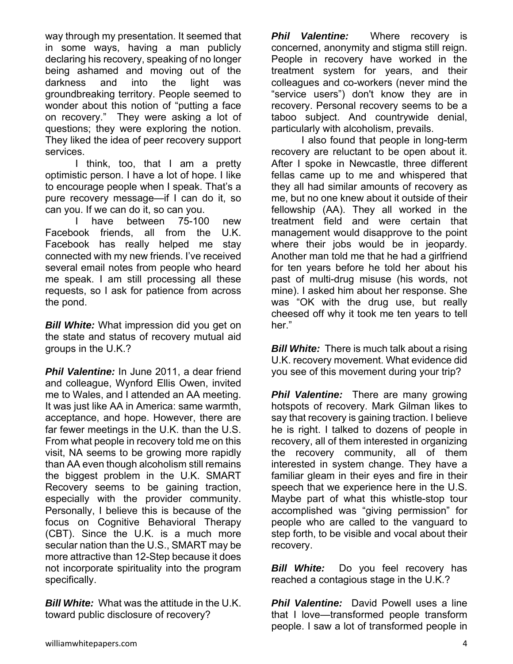way through my presentation. It seemed that in some ways, having a man publicly declaring his recovery, speaking of no longer being ashamed and moving out of the darkness and into the light was groundbreaking territory. People seemed to wonder about this notion of "putting a face on recovery." They were asking a lot of questions; they were exploring the notion. They liked the idea of peer recovery support services.

 I think, too, that I am a pretty optimistic person. I have a lot of hope. I like to encourage people when I speak. That's a pure recovery message—if I can do it, so can you. If we can do it, so can you.

 I have between 75-100 new Facebook friends, all from the U.K. Facebook has really helped me stay connected with my new friends. I've received several email notes from people who heard me speak. I am still processing all these requests, so I ask for patience from across the pond.

*Bill White:* What impression did you get on the state and status of recovery mutual aid groups in the U.K.?

**Phil Valentine:** In June 2011, a dear friend and colleague, Wynford Ellis Owen, invited me to Wales, and I attended an AA meeting. It was just like AA in America: same warmth, acceptance, and hope. However, there are far fewer meetings in the U.K. than the U.S. From what people in recovery told me on this visit, NA seems to be growing more rapidly than AA even though alcoholism still remains the biggest problem in the U.K. SMART Recovery seems to be gaining traction, especially with the provider community. Personally, I believe this is because of the focus on Cognitive Behavioral Therapy (CBT). Since the U.K. is a much more secular nation than the U.S., SMART may be more attractive than 12-Step because it does not incorporate spirituality into the program specifically.

*Bill White:* What was the attitude in the U.K. toward public disclosure of recovery?

*Phil Valentine:* Where recovery is concerned, anonymity and stigma still reign. People in recovery have worked in the treatment system for years, and their colleagues and co-workers (never mind the "service users") don't know they are in recovery. Personal recovery seems to be a taboo subject. And countrywide denial, particularly with alcoholism, prevails.

 I also found that people in long-term recovery are reluctant to be open about it. After I spoke in Newcastle, three different fellas came up to me and whispered that they all had similar amounts of recovery as me, but no one knew about it outside of their fellowship (AA). They all worked in the treatment field and were certain that management would disapprove to the point where their jobs would be in jeopardy. Another man told me that he had a girlfriend for ten years before he told her about his past of multi-drug misuse (his words, not mine). I asked him about her response. She was "OK with the drug use, but really cheesed off why it took me ten years to tell her."

*Bill White:* There is much talk about a rising U.K. recovery movement. What evidence did you see of this movement during your trip?

**Phil Valentine:** There are many growing hotspots of recovery. Mark Gilman likes to say that recovery is gaining traction. I believe he is right. I talked to dozens of people in recovery, all of them interested in organizing the recovery community, all of them interested in system change. They have a familiar gleam in their eyes and fire in their speech that we experience here in the U.S. Maybe part of what this whistle-stop tour accomplished was "giving permission" for people who are called to the vanguard to step forth, to be visible and vocal about their recovery.

*Bill White:* Do you feel recovery has reached a contagious stage in the U.K.?

**Phil Valentine:** David Powell uses a line that I love—transformed people transform people. I saw a lot of transformed people in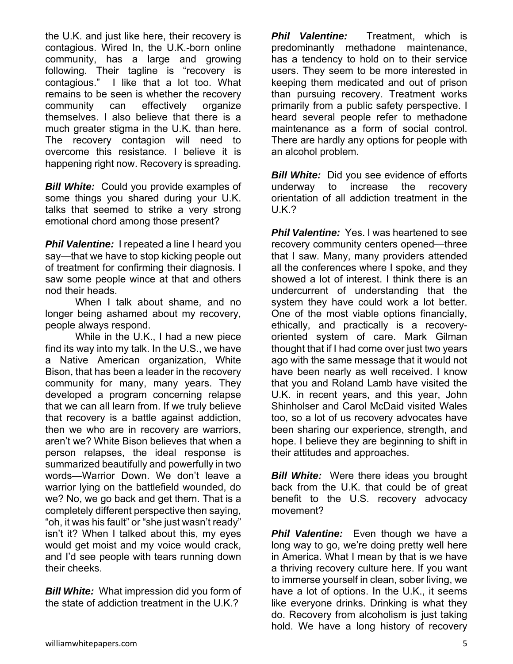the U.K. and just like here, their recovery is contagious. Wired In, the U.K.-born online community, has a large and growing following. Their tagline is "recovery is contagious." I like that a lot too. What remains to be seen is whether the recovery community can effectively organize themselves. I also believe that there is a much greater stigma in the U.K. than here. The recovery contagion will need to overcome this resistance. I believe it is happening right now. Recovery is spreading.

*Bill White:* Could you provide examples of some things you shared during your U.K. talks that seemed to strike a very strong emotional chord among those present?

**Phil Valentine:** I repeated a line I heard you say—that we have to stop kicking people out of treatment for confirming their diagnosis. I saw some people wince at that and others nod their heads.

 When I talk about shame, and no longer being ashamed about my recovery, people always respond.

 While in the U.K., I had a new piece find its way into my talk. In the U.S., we have a Native American organization, White Bison, that has been a leader in the recovery community for many, many years. They developed a program concerning relapse that we can all learn from. If we truly believe that recovery is a battle against addiction, then we who are in recovery are warriors, aren't we? White Bison believes that when a person relapses, the ideal response is summarized beautifully and powerfully in two words—Warrior Down. We don't leave a warrior lying on the battlefield wounded, do we? No, we go back and get them. That is a completely different perspective then saying, "oh, it was his fault" or "she just wasn't ready" isn't it? When I talked about this, my eyes would get moist and my voice would crack, and I'd see people with tears running down their cheeks.

*Bill White:* What impression did you form of the state of addiction treatment in the U.K.?

*Phil Valentine:* Treatment, which is predominantly methadone maintenance, has a tendency to hold on to their service users. They seem to be more interested in keeping them medicated and out of prison than pursuing recovery. Treatment works primarily from a public safety perspective. I heard several people refer to methadone maintenance as a form of social control. There are hardly any options for people with an alcohol problem.

**Bill White:** Did you see evidence of efforts underway to increase the recovery orientation of all addiction treatment in the U.K.?

**Phil Valentine:** Yes. I was heartened to see recovery community centers opened—three that I saw. Many, many providers attended all the conferences where I spoke, and they showed a lot of interest. I think there is an undercurrent of understanding that the system they have could work a lot better. One of the most viable options financially, ethically, and practically is a recoveryoriented system of care. Mark Gilman thought that if I had come over just two years ago with the same message that it would not have been nearly as well received. I know that you and Roland Lamb have visited the U.K. in recent years, and this year, John Shinholser and Carol McDaid visited Wales too, so a lot of us recovery advocates have been sharing our experience, strength, and hope. I believe they are beginning to shift in their attitudes and approaches.

*Bill White:* Were there ideas you brought back from the U.K. that could be of great benefit to the U.S. recovery advocacy movement?

*Phil Valentine:* Even though we have a long way to go, we're doing pretty well here in America. What I mean by that is we have a thriving recovery culture here. If you want to immerse yourself in clean, sober living, we have a lot of options. In the U.K., it seems like everyone drinks. Drinking is what they do. Recovery from alcoholism is just taking hold. We have a long history of recovery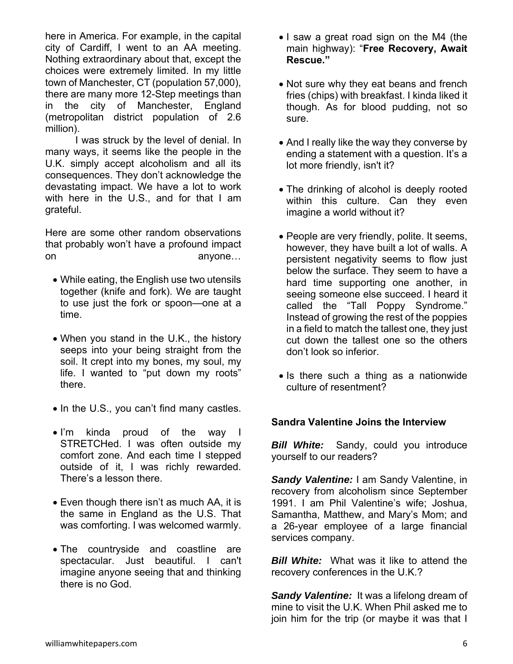here in America. For example, in the capital city of Cardiff, I went to an AA meeting. Nothing extraordinary about that, except the choices were extremely limited. In my little town of Manchester, CT (population 57,000), there are many more 12-Step meetings than in the city of Manchester, England (metropolitan district population of 2.6 million).

 I was struck by the level of denial. In many ways, it seems like the people in the U.K. simply accept alcoholism and all its consequences. They don't acknowledge the devastating impact. We have a lot to work with here in the U.S., and for that I am grateful.

Here are some other random observations that probably won't have a profound impact on anyone…

- While eating, the English use two utensils together (knife and fork). We are taught to use just the fork or spoon—one at a time.
- When you stand in the U.K., the history seeps into your being straight from the soil. It crept into my bones, my soul, my life. I wanted to "put down my roots" there.
- In the U.S., you can't find many castles.
- I'm kinda proud of the way I STRETCHed. I was often outside my comfort zone. And each time I stepped outside of it, I was richly rewarded. There's a lesson there.
- Even though there isn't as much AA, it is the same in England as the U.S. That was comforting. I was welcomed warmly.
- The countryside and coastline are spectacular. Just beautiful. I can't imagine anyone seeing that and thinking there is no God.
- I saw a great road sign on the M4 (the main highway): "**Free Recovery, Await Rescue."**
- Not sure why they eat beans and french fries (chips) with breakfast. I kinda liked it though. As for blood pudding, not so sure.
- And I really like the way they converse by ending a statement with a question. It's a lot more friendly, isn't it?
- The drinking of alcohol is deeply rooted within this culture. Can they even imagine a world without it?
- People are very friendly, polite. It seems, however, they have built a lot of walls. A persistent negativity seems to flow just below the surface. They seem to have a hard time supporting one another, in seeing someone else succeed. I heard it called the "Tall Poppy Syndrome." Instead of growing the rest of the poppies in a field to match the tallest one, they just cut down the tallest one so the others don't look so inferior.
- Is there such a thing as a nationwide culture of resentment?

#### **Sandra Valentine Joins the Interview**

**Bill White:** Sandy, could you introduce yourself to our readers?

*Sandy Valentine:* I am Sandy Valentine, in recovery from alcoholism since September 1991. I am Phil Valentine's wife; Joshua, Samantha, Matthew, and Mary's Mom; and a 26-year employee of a large financial services company.

*Bill White:* What was it like to attend the recovery conferences in the U.K.?

*Sandy Valentine:* It was a lifelong dream of mine to visit the U.K. When Phil asked me to join him for the trip (or maybe it was that I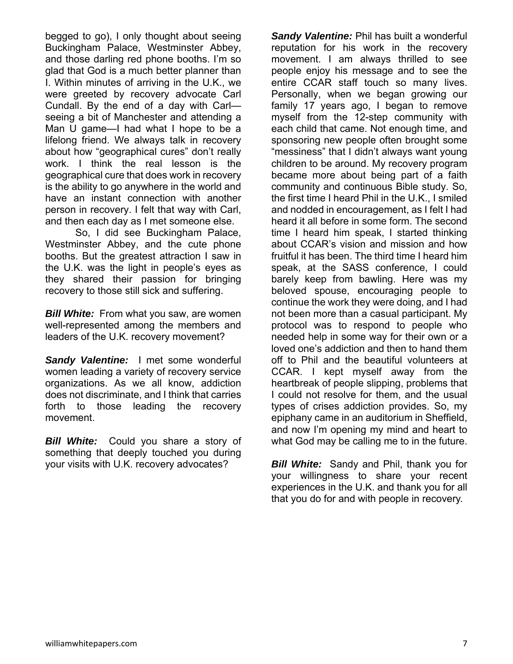begged to go), I only thought about seeing Buckingham Palace, Westminster Abbey, and those darling red phone booths. I'm so glad that God is a much better planner than I. Within minutes of arriving in the U.K., we were greeted by recovery advocate Carl Cundall. By the end of a day with Carl seeing a bit of Manchester and attending a Man U game—I had what I hope to be a lifelong friend. We always talk in recovery about how "geographical cures" don't really work. I think the real lesson is the geographical cure that does work in recovery is the ability to go anywhere in the world and have an instant connection with another person in recovery. I felt that way with Carl, and then each day as I met someone else.

 So, I did see Buckingham Palace, Westminster Abbey, and the cute phone booths. But the greatest attraction I saw in the U.K. was the light in people's eyes as they shared their passion for bringing recovery to those still sick and suffering.

*Bill White:* From what you saw, are women well-represented among the members and leaders of the U.K. recovery movement?

*Sandy Valentine:* I met some wonderful women leading a variety of recovery service organizations. As we all know, addiction does not discriminate, and I think that carries forth to those leading the recovery movement.

*Bill White:* Could you share a story of something that deeply touched you during your visits with U.K. recovery advocates?

*Sandy Valentine:* Phil has built a wonderful reputation for his work in the recovery movement. I am always thrilled to see people enjoy his message and to see the entire CCAR staff touch so many lives. Personally, when we began growing our family 17 years ago, I began to remove myself from the 12-step community with each child that came. Not enough time, and sponsoring new people often brought some "messiness" that I didn't always want young children to be around. My recovery program became more about being part of a faith community and continuous Bible study. So, the first time I heard Phil in the U.K., I smiled and nodded in encouragement, as I felt I had heard it all before in some form. The second time I heard him speak, I started thinking about CCAR's vision and mission and how fruitful it has been. The third time I heard him speak, at the SASS conference, I could barely keep from bawling. Here was my beloved spouse, encouraging people to continue the work they were doing, and I had not been more than a casual participant. My protocol was to respond to people who needed help in some way for their own or a loved one's addiction and then to hand them off to Phil and the beautiful volunteers at CCAR. I kept myself away from the heartbreak of people slipping, problems that I could not resolve for them, and the usual types of crises addiction provides. So, my epiphany came in an auditorium in Sheffield, and now I'm opening my mind and heart to what God may be calling me to in the future.

*Bill White:* Sandy and Phil, thank you for your willingness to share your recent experiences in the U.K. and thank you for all that you do for and with people in recovery.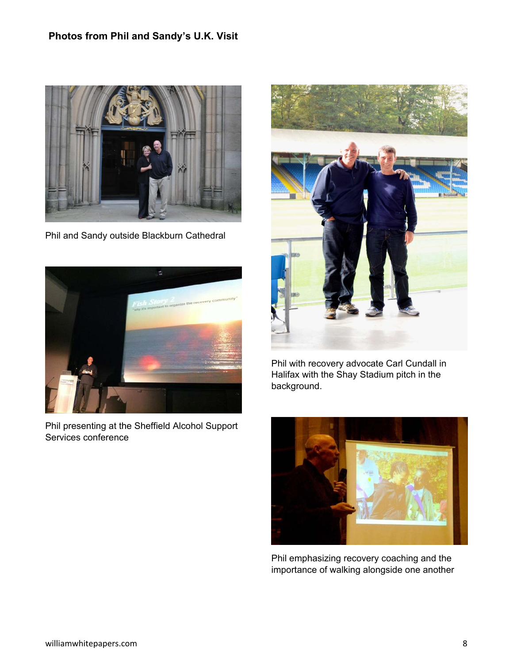## **Photos from Phil and Sandy's U.K. Visit**



Phil and Sandy outside Blackburn Cathedral



Phil presenting at the Sheffield Alcohol Support Services conference



Phil with recovery advocate Carl Cundall in Halifax with the Shay Stadium pitch in the background.



Phil emphasizing recovery coaching and the importance of walking alongside one another